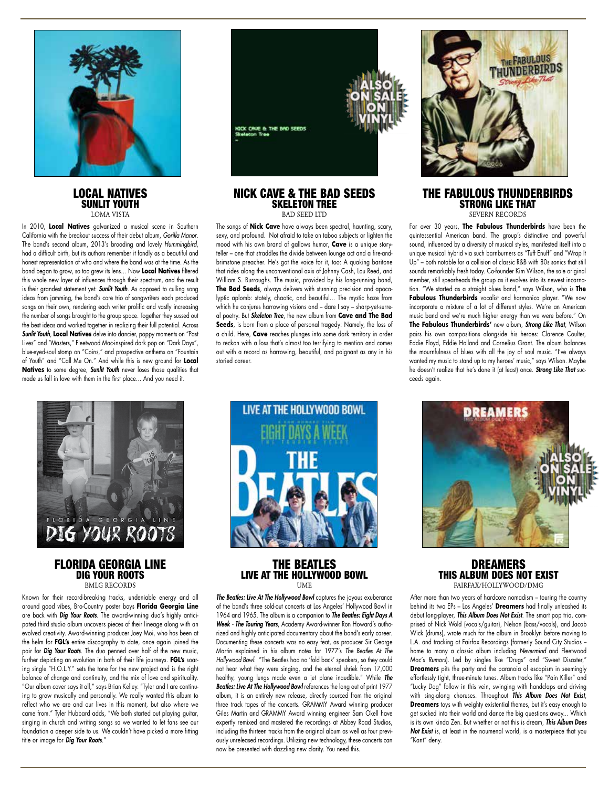

### LOCAL NATIVES SUNLIT YOUTH LOMA VISTA

In 2010, **Local Natives** galvanized a musical scene in Southern California with the breakout success of their debut album, *Gorilla Manor*. The band's second album, 2013's brooding and lovely *Hummingbird*, had a difficult birth, but its authors remember it fondly as a beautiful and honest representation of who and where the band was at the time. As the band began to grow, so too grew its lens… Now **Local Natives** filtered this whole new layer of influences through their spectrum, and the result is their grandest statement yet: *Sunlit Youth*. As opposed to culling song ideas from jamming, the band's core trio of songwriters each produced songs on their own, rendering each writer prolific and vastly increasing the number of songs brought to the group space. Together they sussed out the best ideas and worked together in realizing their full potential. Across *Sunlit Youth*, **Local Natives** delve into dancier, poppy moments on "Past Lives" and "Masters," Fleetwood Mac-inspired dark pop on "Dark Days", blue-eyed-soul stomp on "Coins," and prospective anthems on "Fountain of Youth" and "Call Me On." And while this is new ground for **Local Natives** to some degree, *Sunlit Youth* never loses those qualities that made us fall in love with them in the first place… And you need it.



### FLORIDA GEORGIA LINE DIG YOUR ROOTS BMLG RECORDS

Known for their record-breaking tracks, undeniable energy and all around good vibes, Bro-Country poster boys **Florida Georgia Line** are back with *Dig Your Roots*. The award-winning duo's highly anticipated third studio album uncovers pieces of their lineage along with an evolved creativity. Award-winning producer Joey Moi, who has been at the helm for **FGL's** entire discography to date, once again joined the pair for *Dig Your Roots*. The duo penned over half of the new music, further depicting an evolution in both of their life journeys. **FGL's** soaring single "H.O.L.Y." sets the tone for the new project and is the right balance of change and continuity, and the mix of love and spirituality. "Our album cover says it all," says Brian Kelley. "Tyler and I are continuing to grow musically and personally. We really wanted this album to reflect who we are and our lives in this moment, but also where we came from." Tyler Hubbard adds, "We both started out playing guitar, singing in church and writing songs so we wanted to let fans see our foundation a deeper side to us. We couldn't have picked a more fitting title or image for *Dig Your Roots*."



### NICK CAVE & THE BAD SEEDS SKELETON TREE BAD SEED LTD

The songs of **Nick Cave** have always been spectral, haunting, scary, sexy, and profound. Not afraid to take on taboo subjects or lighten the mood with his own brand of gallows humor, **Cave** is a unique storyteller – one that straddles the divide between lounge act and a fire-andbrimstone preacher. He's got the voice for it, too: A quaking baritone that rides along the unconventional axis of Johnny Cash, Lou Reed, and William S. Burroughs. The music, provided by his long-running band, **The Bad Seeds**, always delivers with stunning precision and apocalyptic aplomb: stately, chaotic, and beautiful… The mystic haze from which he conjures harrowing visions and – dare I say – sharp-yet-surreal poetry. But *Skeleton Tree*, the new album from **Cave and The Bad**  Seeds, is born from a place of personal tragedy: Namely, the loss of a child. Here, **Cave** reaches plunges into some dark territory in order to reckon with a loss that's almost too terrifying to mention and comes out with a record as harrowing, beautiful, and poignant as any in his storied career.



### THE FABULOUS THUNDERBIRDS STRONG LIKE THAT SEVERN RECORDS

For over 30 years, **The Fabulous Thunderbirds** have been the quintessential American band. The group's distinctive and powerful sound, influenced by a diversity of musical styles, manifested itself into a unique musical hybrid via such barnburners as "Tuff Enuff" and "Wrap It Up" – both notable for a collision of classic R&B with 80s sonics that still sounds remarkably fresh today. Co-founder Kim Wilson, the sole original member, still spearheads the group as it evolves into its newest incarnation. "We started as a straight blues band," says Wilson, who is **The Fabulous Thunderbirds** vocalist and harmonica player. "We now incorporate a mixture of a lot of different styles. We're an American music band and we're much higher energy than we were before." On **The Fabulous Thunderbirds'** new album, *Strong Like That*, Wilson pairs his own compositions alongside his heroes: Clarence Coulter, Eddie Floyd, Eddie Holland and Cornelius Grant. The album balances the mournfulness of blues with all the joy of soul music. "I've always wanted my music to stand up to my heroes' music," says Wilson. Maybe he doesn't realize that he's done it (at least) once. *Strong Like That* succeeds again.



## THE BEATLES LIVE AT THE HOLLYWOOD BOWL UME

*The Beatles: Live At The Hollywood Bowl* captures the joyous exuberance of the band's three sold-out concerts at Los Angeles' Hollywood Bowl in 1964 and 1965. The album is a companion to *The Beatles: Eight Days A Week - The Touring Years*, Academy Award-winner Ron Howard's authorized and highly anticipated documentary about the band's early career. Documenting these concerts was no easy feat, as producer Sir George Martin explained in his album notes for 1977's *The Beatles At The Hollywood Bowl*: "The Beatles had no 'fold back' speakers, so they could not hear what they were singing, and the eternal shriek from 17,000 healthy, young lungs made even a jet plane inaudible." While *The Beatles: Live At The Hollywood Bowl* references the long out of print 1977 album, it is an entirely new release, directly sourced from the original three track tapes of the concerts. GRAMMY Award winning producer Giles Martin and GRAMMY Award winning engineer Sam Okell have expertly remixed and mastered the recordings at Abbey Road Studios, including the thirteen tracks from the original album as well as four previously unreleased recordings. Utilizing new technology, these concerts can now be presented with dazzling new clarity. You need this.



### DREAMERS THIS ALBUM DOES NOT EXIST FAIRFAX/HOLLYWOOD/DMG

After more than two years of hardcore nomadism – touring the country behind its two EPs – Los Angeles' **Dreamers** had finally unleashed its debut long-player, *This Album Does Not Exist*. The smart pop trio, comprised of Nick Wold (vocals/guitar), Nelson (bass/vocals), and Jacob Wick (drums), wrote much for the album in Brooklyn before moving to L.A. and tracking at Fairfax Recordings (formerly Sound City Studios – home to many a classic album including *Nevermind* and Fleetwood Mac's *Rumors*). Led by singles like "Drugs" and "Sweet Disaster," **Dreamers** pits the party and the paranoia of escapism in seemingly effortlessly tight, three-minute tunes. Album tracks like "Pain Killer" and "Lucky Dog" follow in this vein, swinging with handclaps and driving with sing-along choruses. Throughout *This Album Does Not Exist*, **Dreamers** toys with weighty existential themes, but it's easy enough to get sucked into their world and dance the big questions away... Which is its own kinda Zen. But whether or not this is dream, *This Album Does Not Exist* is, at least in the noumenal world, is a masterpiece that you "Kant" deny.